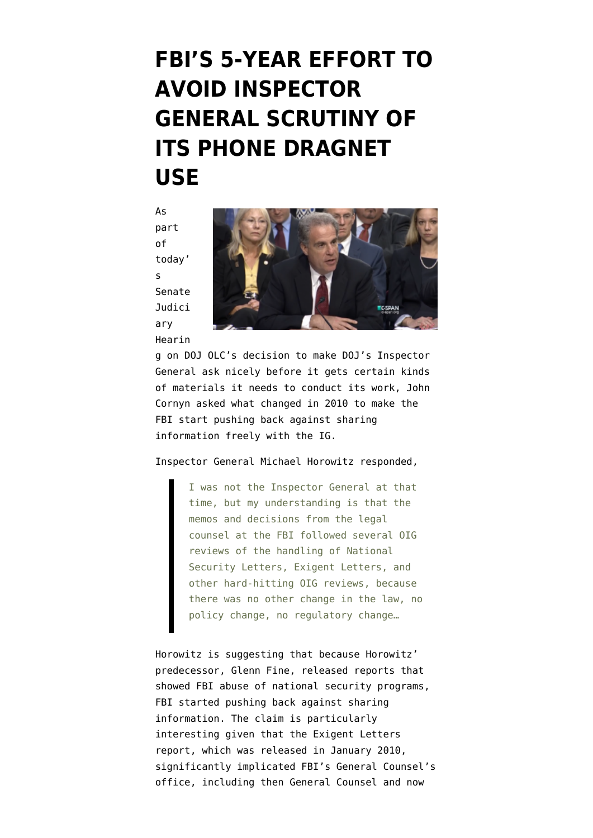## **[FBI'S 5-YEAR EFFORT TO](https://www.emptywheel.net/2015/08/05/fbis-5-year-effort-to-avoid-inspector-general-scrutiny-of-its-phone-dragnet-use/) [AVOID INSPECTOR](https://www.emptywheel.net/2015/08/05/fbis-5-year-effort-to-avoid-inspector-general-scrutiny-of-its-phone-dragnet-use/) [GENERAL SCRUTINY OF](https://www.emptywheel.net/2015/08/05/fbis-5-year-effort-to-avoid-inspector-general-scrutiny-of-its-phone-dragnet-use/) [ITS PHONE DRAGNET](https://www.emptywheel.net/2015/08/05/fbis-5-year-effort-to-avoid-inspector-general-scrutiny-of-its-phone-dragnet-use/) [USE](https://www.emptywheel.net/2015/08/05/fbis-5-year-effort-to-avoid-inspector-general-scrutiny-of-its-phone-dragnet-use/)**

As part of today' s [Senate](http://www.judiciary.senate.gov/meetings/all-means-all-the-justice-departments-failure-to-comply-with-its-legal-obligation-to-ensure-inspector-general-access-to-all-records-needed-for-independent-oversight) [Judici](http://www.judiciary.senate.gov/meetings/all-means-all-the-justice-departments-failure-to-comply-with-its-legal-obligation-to-ensure-inspector-general-access-to-all-records-needed-for-independent-oversight) [ary](http://www.judiciary.senate.gov/meetings/all-means-all-the-justice-departments-failure-to-comply-with-its-legal-obligation-to-ensure-inspector-general-access-to-all-records-needed-for-independent-oversight) [Hearin](http://www.judiciary.senate.gov/meetings/all-means-all-the-justice-departments-failure-to-comply-with-its-legal-obligation-to-ensure-inspector-general-access-to-all-records-needed-for-independent-oversight)



[g](http://www.judiciary.senate.gov/meetings/all-means-all-the-justice-departments-failure-to-comply-with-its-legal-obligation-to-ensure-inspector-general-access-to-all-records-needed-for-independent-oversight) on DOJ OLC's decision to make DOJ's Inspector General ask nicely before it gets certain kinds of materials it needs to conduct its work, John Cornyn asked what changed in 2010 to make the FBI start pushing back against sharing information freely with the IG.

## Inspector General Michael Horowitz [responded](http://www.c-span.org/video/?c4547350/ig-horowitz-suggests-fbi-stopped-sharing-data-natsec-ig-reports),

I was not the Inspector General at that time, but my understanding is that the memos and decisions from the legal counsel at the FBI followed several OIG reviews of the handling of National Security Letters, Exigent Letters, and other hard-hitting OIG reviews, because there was no other change in the law, no policy change, no regulatory change…

Horowitz is suggesting that because Horowitz' predecessor, Glenn Fine, released reports that showed FBI abuse of national security programs, FBI started pushing back against sharing information. The claim is particularly interesting given that the [Exigent Letters](https://oig.justice.gov/special/s1001r.pdf) [report](https://oig.justice.gov/special/s1001r.pdf), which was released in January 2010, significantly implicated FBI's General Counsel's office, including then General Counsel and now